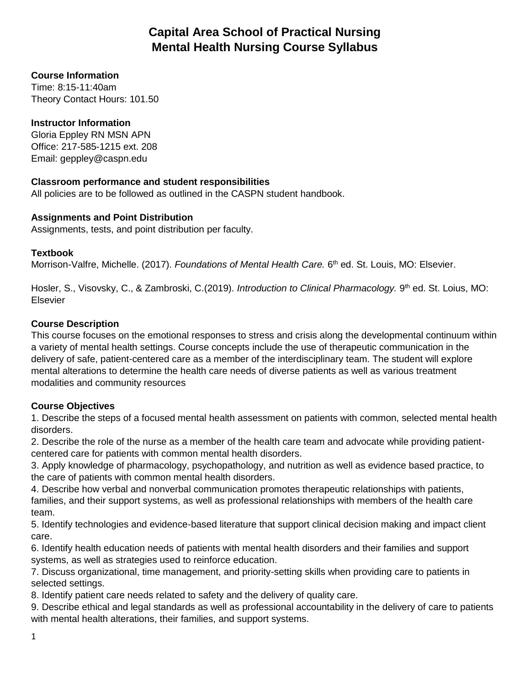# **Capital Area School of Practical Nursing Mental Health Nursing Course Syllabus**

### **Course Information**

Time: 8:15-11:40am Theory Contact Hours: 101.50

### **Instructor Information**

Gloria Eppley RN MSN APN Office: 217-585-1215 ext. 208 Email: geppley@caspn.edu

### **Classroom performance and student responsibilities**

All policies are to be followed as outlined in the CASPN student handbook.

### **Assignments and Point Distribution**

Assignments, tests, and point distribution per faculty.

#### **Textbook**

Morrison-Valfre, Michelle. (2017). *Foundations of Mental Health Care.* 6<sup>th</sup> ed. St. Louis, MO: Elsevier.

Hosler, S., Visovsky, C., & Zambroski, C.(2019). *Introduction to Clinical Pharmacology.* 9<sup>th</sup> ed. St. Loius, MO: Elsevier

### **Course Description**

This course focuses on the emotional responses to stress and crisis along the developmental continuum within a variety of mental health settings. Course concepts include the use of therapeutic communication in the delivery of safe, patient-centered care as a member of the interdisciplinary team. The student will explore mental alterations to determine the health care needs of diverse patients as well as various treatment modalities and community resources

### **Course Objectives**

1. Describe the steps of a focused mental health assessment on patients with common, selected mental health disorders.

2. Describe the role of the nurse as a member of the health care team and advocate while providing patientcentered care for patients with common mental health disorders.

3. Apply knowledge of pharmacology, psychopathology, and nutrition as well as evidence based practice, to the care of patients with common mental health disorders.

4. Describe how verbal and nonverbal communication promotes therapeutic relationships with patients, families, and their support systems, as well as professional relationships with members of the health care team.

5. Identify technologies and evidence-based literature that support clinical decision making and impact client care.

6. Identify health education needs of patients with mental health disorders and their families and support systems, as well as strategies used to reinforce education.

7. Discuss organizational, time management, and priority-setting skills when providing care to patients in selected settings.

8. Identify patient care needs related to safety and the delivery of quality care.

9. Describe ethical and legal standards as well as professional accountability in the delivery of care to patients with mental health alterations, their families, and support systems.

1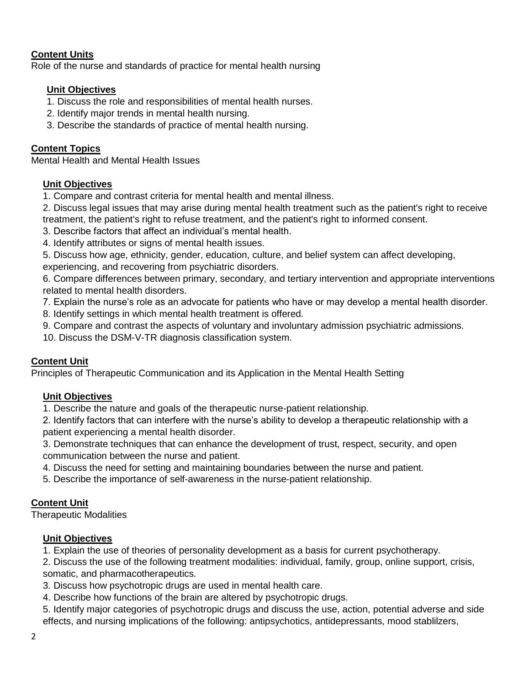### **Content Units**

Role of the nurse and standards of practice for mental health nursing

### **Unit Objectives**

- 1. Discuss the role and responsibilities of mental health nurses.
- 2. Identify major trends in mental health nursing.
- 3. Describe the standards of practice of mental health nursing.

### **Content Topics**

Mental Health and Mental Health Issues

### **Unit Objectives**

- 1. Compare and contrast criteria for mental health and mental illness.
- 2. Discuss legal issues that may arise during mental health treatment such as the patient's right to receive treatment, the patient's right to refuse treatment, and the patient's right to informed consent.
- 3. Describe factors that affect an individual's mental health.
- 4. Identify attributes or signs of mental health issues.
- 5. Discuss how age, ethnicity, gender, education, culture, and belief system can affect developing, experiencing, and recovering from psychiatric disorders.

6. Compare differences between primary, secondary, and tertiary intervention and appropriate interventions related to mental health disorders.

- 7. Explain the nurse's role as an advocate for patients who have or may develop a mental health disorder.
- 8. Identify settings in which mental health treatment is offered.
- 9. Compare and contrast the aspects of voluntary and involuntary admission psychiatric admissions.
- 10. Discuss the DSM-V-TR diagnosis classification system.

# **Content Unit**

Principles of Therapeutic Communication and its Application in the Mental Health Setting

### **Unit Objectives**

1. Describe the nature and goals of the therapeutic nurse-patient relationship.

2. Identify factors that can interfere with the nurse's ability to develop a therapeutic relationship with a patient experiencing a mental health disorder.

3. Demonstrate techniques that can enhance the development of trust, respect, security, and open communication between the nurse and patient.

- 4. Discuss the need for setting and maintaining boundaries between the nurse and patient.
- 5. Describe the importance of self-awareness in the nurse-patient relationship.

# **Content Unit**

Therapeutic Modalities

### **Unit Objectives**

1. Explain the use of theories of personality development as a basis for current psychotherapy.

2. Discuss the use of the following treatment modalities: individual, family, group, online support, crisis, somatic, and pharmacotherapeutics.

- 3. Discuss how psychotropic drugs are used in mental health care.
- 4. Describe how functions of the brain are altered by psychotropic drugs.
- 5. Identify major categories of psychotropic drugs and discuss the use, action, potential adverse and side effects, and nursing implications of the following: antipsychotics, antidepressants, mood stablilzers,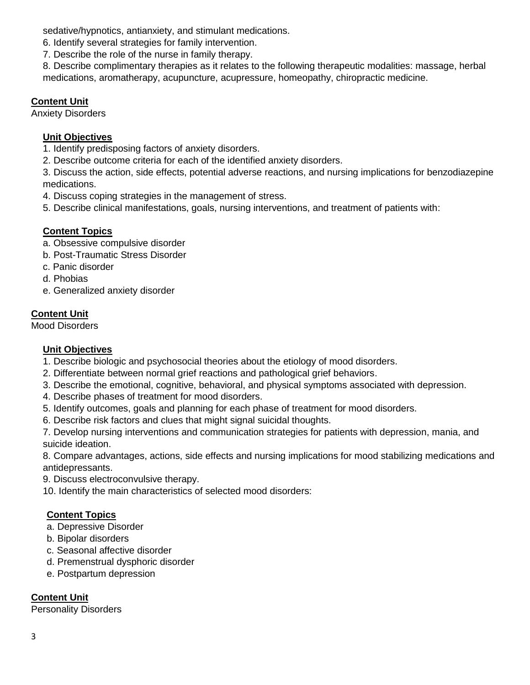sedative/hypnotics, antianxiety, and stimulant medications.

- 6. Identify several strategies for family intervention.
- 7. Describe the role of the nurse in family therapy.

8. Describe complimentary therapies as it relates to the following therapeutic modalities: massage, herbal medications, aromatherapy, acupuncture, acupressure, homeopathy, chiropractic medicine.

# **Content Unit**

Anxiety Disorders

# **Unit Objectives**

1. Identify predisposing factors of anxiety disorders.

2. Describe outcome criteria for each of the identified anxiety disorders.

3. Discuss the action, side effects, potential adverse reactions, and nursing implications for benzodiazepine medications.

- 4. Discuss coping strategies in the management of stress.
- 5. Describe clinical manifestations, goals, nursing interventions, and treatment of patients with:

# **Content Topics**

- a. Obsessive compulsive disorder
- b. Post-Traumatic Stress Disorder
- c. Panic disorder
- d. Phobias
- e. Generalized anxiety disorder

# **Content Unit**

Mood Disorders

# **Unit Objectives**

- 1. Describe biologic and psychosocial theories about the etiology of mood disorders.
- 2. Differentiate between normal grief reactions and pathological grief behaviors.
- 3. Describe the emotional, cognitive, behavioral, and physical symptoms associated with depression.
- 4. Describe phases of treatment for mood disorders.
- 5. Identify outcomes, goals and planning for each phase of treatment for mood disorders.
- 6. Describe risk factors and clues that might signal suicidal thoughts.

7. Develop nursing interventions and communication strategies for patients with depression, mania, and suicide ideation.

8. Compare advantages, actions, side effects and nursing implications for mood stabilizing medications and antidepressants.

- 9. Discuss electroconvulsive therapy.
- 10. Identify the main characteristics of selected mood disorders:

# **Content Topics**

- a. Depressive Disorder
- b. Bipolar disorders
- c. Seasonal affective disorder
- d. Premenstrual dysphoric disorder
- e. Postpartum depression

# **Content Unit**

Personality Disorders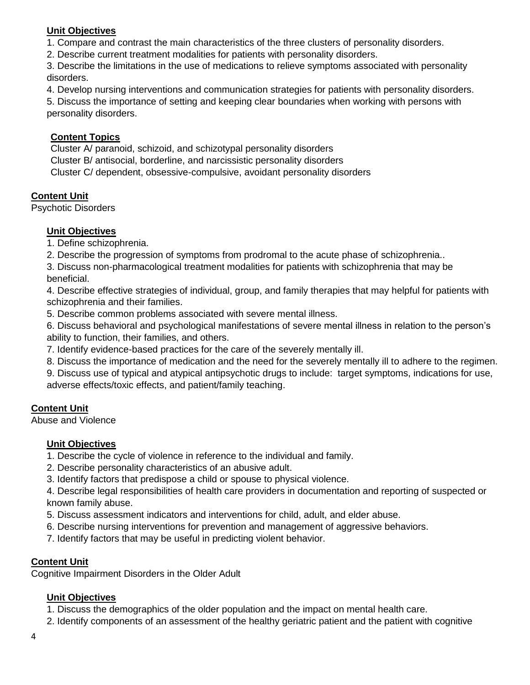## **Unit Objectives**

1. Compare and contrast the main characteristics of the three clusters of personality disorders.

2. Describe current treatment modalities for patients with personality disorders.

3. Describe the limitations in the use of medications to relieve symptoms associated with personality disorders.

4. Develop nursing interventions and communication strategies for patients with personality disorders.

5. Discuss the importance of setting and keeping clear boundaries when working with persons with personality disorders.

## **Content Topics**

Cluster A/ paranoid, schizoid, and schizotypal personality disorders Cluster B/ antisocial, borderline, and narcissistic personality disorders Cluster C/ dependent, obsessive-compulsive, avoidant personality disorders

# **Content Unit**

Psychotic Disorders

## **Unit Objectives**

1. Define schizophrenia.

2. Describe the progression of symptoms from prodromal to the acute phase of schizophrenia..

3. Discuss non-pharmacological treatment modalities for patients with schizophrenia that may be beneficial.

4. Describe effective strategies of individual, group, and family therapies that may helpful for patients with schizophrenia and their families.

5. Describe common problems associated with severe mental illness.

6. Discuss behavioral and psychological manifestations of severe mental illness in relation to the person's ability to function, their families, and others.

7. Identify evidence-based practices for the care of the severely mentally ill.

8. Discuss the importance of medication and the need for the severely mentally ill to adhere to the regimen.

9. Discuss use of typical and atypical antipsychotic drugs to include: target symptoms, indications for use, adverse effects/toxic effects, and patient/family teaching.

### **Content Unit**

Abuse and Violence

### **Unit Objectives**

1. Describe the cycle of violence in reference to the individual and family.

- 2. Describe personality characteristics of an abusive adult.
- 3. Identify factors that predispose a child or spouse to physical violence.

4. Describe legal responsibilities of health care providers in documentation and reporting of suspected or known family abuse.

- 5. Discuss assessment indicators and interventions for child, adult, and elder abuse.
- 6. Describe nursing interventions for prevention and management of aggressive behaviors.
- 7. Identify factors that may be useful in predicting violent behavior.

### **Content Unit**

Cognitive Impairment Disorders in the Older Adult

### **Unit Objectives**

1. Discuss the demographics of the older population and the impact on mental health care.

2. Identify components of an assessment of the healthy geriatric patient and the patient with cognitive